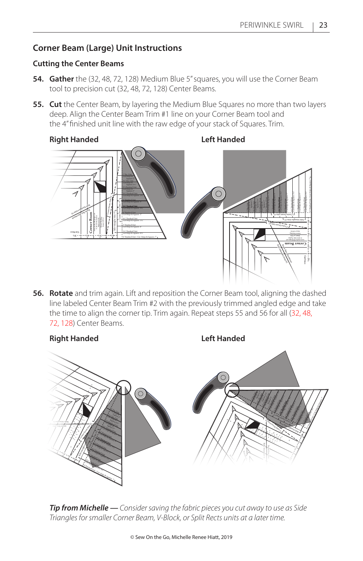# **Corner Beam (Large) Unit Instructions**

#### **Cutting the Center Beams**

- **54. Gather** the (32, 48, 72, 128) Medium Blue 5" squares, you will use the Corner Beam tool to precision cut (32, 48, 72, 128) Center Beams.
- **55. Cut** the Center Beam, by layering the Medium Blue Squares no more than two layers deep. Align the Center Beam Trim #1 line on your Corner Beam tool and the 4" finished unit line with the raw edge of your stack of Squares. Trim.

### **Right Handed Left Handed**



**56. Rotate** and trim again. Lift and reposition the Corner Beam tool, aligning the dashed line labeled Center Beam Trim #2 with the previously trimmed angled edge and take the time to align the corner tip. Trim again. Repeat steps 55 and 56 for all (32, 48, 72, 128) Center Beams.



*Tip from Michelle — Consider saving the fabric pieces you cut away to use as Side Triangles for smaller Corner Beam, V-Block, or Split Rects units at a later time.*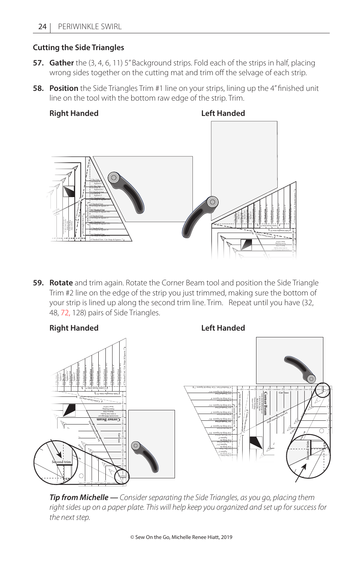#### **Cutting the Side Triangles**

- **57. Gather** the (3, 4, 6, 11) 5" Background strips. Fold each of the strips in half, placing wrong sides together on the cutting mat and trim off the selvage of each strip.
- **58. Position** the Side Triangles Trim #1 line on your strips, lining up the 4" finished unit line on the tool with the bottom raw edge of the strip. Trim.

**Right Handed Left Handed**



**59. Rotate** and trim again. Rotate the Corner Beam tool and position the Side Triangle Trim #2 line on the edge of the strip you just trimmed, making sure the bottom of your strip is lined up along the second trim line. Trim. Repeat until you have (32, 48, 72, 128) pairs of Side Triangles.



*Tip from Michelle — Consider separating the Side Triangles, as you go, placing them right sides up on a paper plate. This will help keep you organized and set up for success for the next step.*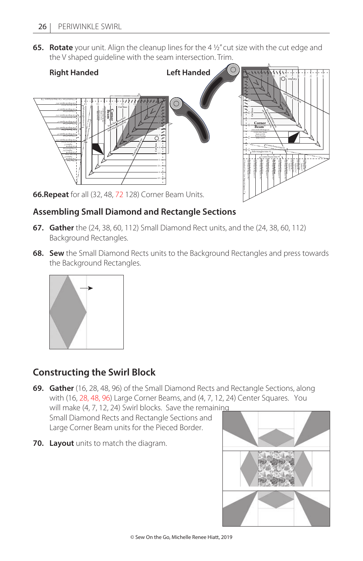**65. Rotate** your unit. Align the cleanup lines for the 4 ½" cut size with the cut edge and the V shaped guideline with the seam intersection. Trim.



**66.Repeat** for all (32, 48, 72 128) Corner Beam Units.

# **Assembling Small Diamond and Rectangle Sections**

- **67. Gather** the (24, 38, 60, 112) Small Diamond Rect units, and the (24, 38, 60, 112) Background Rectangles.
- **68. Sew** the Small Diamond Rects units to the Background Rectangles and press towards the Background Rectangles.



# **Constructing the Swirl Block**

**69. Gather** (16, 28, 48, 96) of the Small Diamond Rects and Rectangle Sections, along with (16, 28, 48, 96) Large Corner Beams, and (4, 7, 12, 24) Center Squares. You will make (4, 7, 12, 24) Swirl blocks. Save the remaining

Small Diamond Rects and Rectangle Sections and Large Corner Beam units for the Pieced Border.

**70. Layout** units to match the diagram.